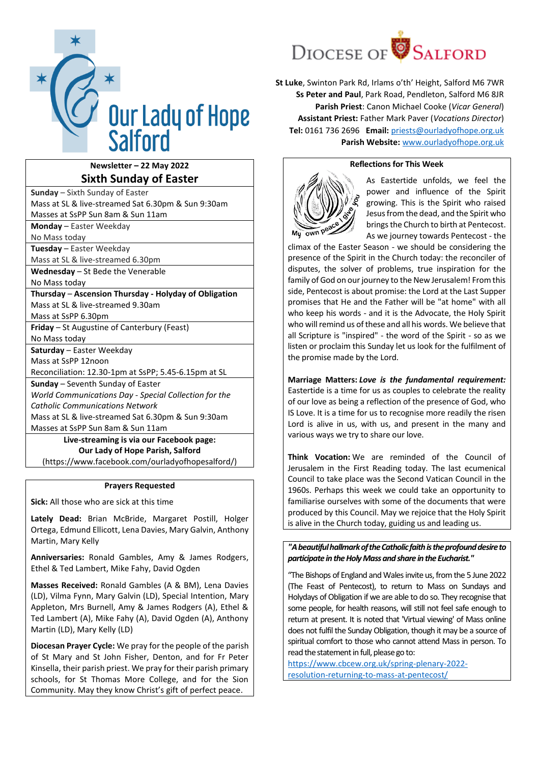

# **Newsletter – 22 May 2022 Sixth Sunday of Easter**

| <b>Sunday</b> – Sixth Sunday of Easter                |  |  |  |  |  |  |  |  |  |
|-------------------------------------------------------|--|--|--|--|--|--|--|--|--|
| Mass at SL & live-streamed Sat 6.30pm & Sun 9:30am    |  |  |  |  |  |  |  |  |  |
| Masses at SsPP Sun 8am & Sun 11am                     |  |  |  |  |  |  |  |  |  |
| <b>Monday</b> – Easter Weekday                        |  |  |  |  |  |  |  |  |  |
| No Mass today                                         |  |  |  |  |  |  |  |  |  |
| Tuesday - Easter Weekday                              |  |  |  |  |  |  |  |  |  |
| Mass at SL & live-streamed 6.30pm                     |  |  |  |  |  |  |  |  |  |
| Wednesday - St Bede the Venerable                     |  |  |  |  |  |  |  |  |  |
| No Mass today                                         |  |  |  |  |  |  |  |  |  |
| Thursday - Ascension Thursday - Holyday of Obligation |  |  |  |  |  |  |  |  |  |
| Mass at SL & live-streamed 9.30am                     |  |  |  |  |  |  |  |  |  |
| Mass at SsPP 6.30pm                                   |  |  |  |  |  |  |  |  |  |
| Friday - St Augustine of Canterbury (Feast)           |  |  |  |  |  |  |  |  |  |
| No Mass today                                         |  |  |  |  |  |  |  |  |  |
| Saturday - Easter Weekday                             |  |  |  |  |  |  |  |  |  |
| Mass at SsPP 12noon                                   |  |  |  |  |  |  |  |  |  |
| Reconciliation: 12.30-1pm at SsPP; 5.45-6.15pm at SL  |  |  |  |  |  |  |  |  |  |
| Sunday - Seventh Sunday of Easter                     |  |  |  |  |  |  |  |  |  |
| World Communications Day - Special Collection for the |  |  |  |  |  |  |  |  |  |
| <b>Catholic Communications Network</b>                |  |  |  |  |  |  |  |  |  |
| Mass at SL & live-streamed Sat 6.30pm & Sun 9:30am    |  |  |  |  |  |  |  |  |  |
| Masses at SsPP Sun 8am & Sun 11am                     |  |  |  |  |  |  |  |  |  |
| Live-streaming is via our Facebook page:              |  |  |  |  |  |  |  |  |  |
| Our Lady of Hope Parish, Salford                      |  |  |  |  |  |  |  |  |  |
| (https://www.facebook.com/ourladyofhopesalford/)      |  |  |  |  |  |  |  |  |  |

### **Prayers Requested**

**Sick:** All those who are sick at this time

**Lately Dead:** Brian McBride, Margaret Postill, Holger Ortega, Edmund Ellicott, Lena Davies, Mary Galvin, Anthony Martin, Mary Kelly

**Anniversaries:** Ronald Gambles, Amy & James Rodgers, Ethel & Ted Lambert, Mike Fahy, David Ogden

**Masses Received:** Ronald Gambles (A & BM), Lena Davies (LD), Vilma Fynn, Mary Galvin (LD), Special Intention, Mary Appleton, Mrs Burnell, Amy & James Rodgers (A), Ethel & Ted Lambert (A), Mike Fahy (A), David Ogden (A), Anthony Martin (LD), Mary Kelly (LD)

**Diocesan Prayer Cycle:** We pray for the people of the parish of St Mary and St John Fisher, Denton, and for Fr Peter Kinsella, their parish priest. We pray for their parish primary schools, for St Thomas More College, and for the Sion Community. May they know Christ's gift of perfect peace.



**St Luke**, Swinton Park Rd, Irlams o'th' Height, Salford M6 7WR **Ss Peter and Paul**, Park Road, Pendleton, Salford M6 8JR **Parish Priest**: Canon Michael Cooke (*Vicar General*) **Assistant Priest:** Father Mark Paver (*Vocations Director*) **Tel:** 0161 736 2696 **Email:** [priests@ourladyofhope.org.uk](mailto:priests@ourladyofhope.org.uk) **Parish Website:** [www.ourladyofhope.org.uk](http://www.ourladyofhope.org.uk/)

## **Reflections for This Week**



As Eastertide unfolds, we feel the power and influence of the Spirit growing. This is the Spirit who raised Jesus from the dead, and the Spirit who brings the Church to birth at Pentecost. As we journey towards Pentecost - the

climax of the Easter Season - we should be considering the presence of the Spirit in the Church today: the reconciler of disputes, the solver of problems, true inspiration for the family of God on our journey to the New Jerusalem! From this side, Pentecost is about promise: the Lord at the Last Supper promises that He and the Father will be "at home" with all who keep his words - and it is the Advocate, the Holy Spirit who will remind us of these and all his words. We believe that all Scripture is "inspired" - the word of the Spirit - so as we listen or proclaim this Sunday let us look for the fulfilment of the promise made by the Lord.

**Marriage Matters:** *Love is the fundamental requirement:*  Eastertide is a time for us as couples to celebrate the reality of our love as being a reflection of the presence of God, who IS Love. It is a time for us to recognise more readily the risen Lord is alive in us, with us, and present in the many and various ways we try to share our love.

**Think Vocation:** We are reminded of the Council of Jerusalem in the First Reading today. The last ecumenical Council to take place was the Second Vatican Council in the 1960s. Perhaps this week we could take an opportunity to familiarise ourselves with some of the documents that were produced by this Council. May we rejoice that the Holy Spirit is alive in the Church today, guiding us and leading us.

*"A beautiful hallmark of the Catholic faith is the profound desire to participate in the Holy Mass and share in the Eucharist."*

"The Bishops of England and Wales invite us, from the 5 June 2022 (The Feast of Pentecost), to return to Mass on Sundays and Holydays of Obligation if we are able to do so. They recognise that some people, for health reasons, will still not feel safe enough to return at present. It is noted that 'Virtual viewing' of Mass online does not fulfil the Sunday Obligation, though it may be a source of spiritual comfort to those who cannot attend Mass in person. To read the statement in full, please go to:

[https://www.cbcew.org.uk/spring-plenary-2022](https://www.cbcew.org.uk/spring-plenary-2022-resolution-returning-to-mass-at-pentecost/) [resolution-returning-to-mass-at-pentecost/](https://www.cbcew.org.uk/spring-plenary-2022-resolution-returning-to-mass-at-pentecost/)